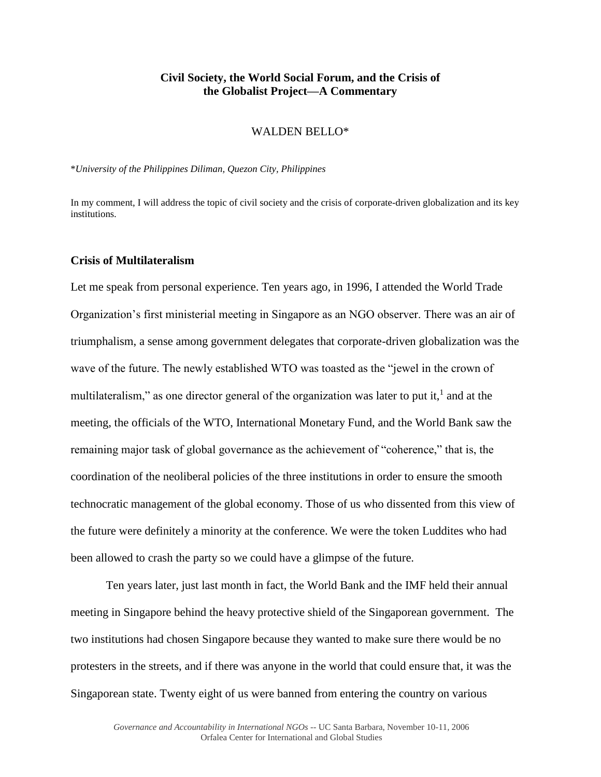## **Civil Society, the World Social Forum, and the Crisis of the Globalist Project—A Commentary**

## WALDEN BELLO\*

\**University of the Philippines Diliman, Quezon City, Philippines*

In my comment, I will address the topic of civil society and the crisis of corporate-driven globalization and its key institutions.

### **Crisis of Multilateralism**

Let me speak from personal experience. Ten years ago, in 1996, I attended the World Trade Organization's first ministerial meeting in Singapore as an NGO observer. There was an air of triumphalism, a sense among government delegates that corporate-driven globalization was the wave of the future. The newly established WTO was toasted as the "jewel in the crown of multilateralism," as one director general of the organization was later to put it, $<sup>1</sup>$  and at the</sup> meeting, the officials of the WTO, International Monetary Fund, and the World Bank saw the remaining major task of global governance as the achievement of "coherence," that is, the coordination of the neoliberal policies of the three institutions in order to ensure the smooth technocratic management of the global economy. Those of us who dissented from this view of the future were definitely a minority at the conference. We were the token Luddites who had been allowed to crash the party so we could have a glimpse of the future.

Ten years later, just last month in fact, the World Bank and the IMF held their annual meeting in Singapore behind the heavy protective shield of the Singaporean government. The two institutions had chosen Singapore because they wanted to make sure there would be no protesters in the streets, and if there was anyone in the world that could ensure that, it was the Singaporean state. Twenty eight of us were banned from entering the country on various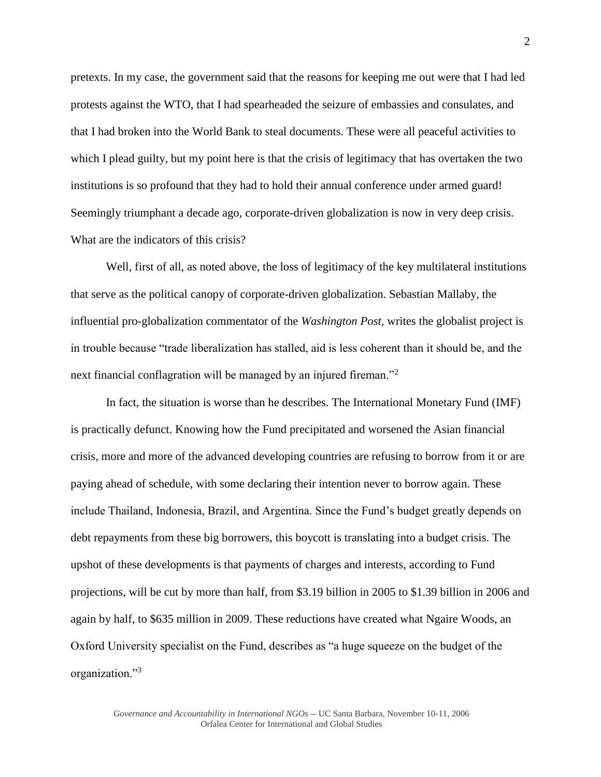pretexts. In my case, the government said that the reasons for keeping me out were that I had led protests against the WTO, that I had spearheaded the seizure of embassies and consulates, and that I had broken into the World Bank to steal documents. These were all peaceful activities to which I plead guilty, but my point here is that the crisis of legitimacy that has overtaken the two institutions is so profound that they had to hold their annual conference under armed guard! Seemingly triumphant a decade ago, corporate-driven globalization is now in very deep crisis. What are the indicators of this crisis?

Well, first of all, as noted above, the loss of legitimacy of the key multilateral institutions that serve as the political canopy of corporate-driven globalization. Sebastian Mallaby, the influential pro-globalization commentator of the *Washington Post,* writes the globalist project is in trouble because "trade liberalization has stalled, aid is less coherent than it should be, and the next financial conflagration will be managed by an injured fireman."<sup>2</sup>

In fact, the situation is worse than he describes. The International Monetary Fund (IMF) is practically defunct. Knowing how the Fund precipitated and worsened the Asian financial crisis, more and more of the advanced developing countries are refusing to borrow from it or are paying ahead of schedule, with some declaring their intention never to borrow again. These include Thailand, Indonesia, Brazil, and Argentina. Since the Fund's budget greatly depends on debt repayments from these big borrowers, this boycott is translating into a budget crisis. The upshot of these developments is that payments of charges and interests, according to Fund projections, will be cut by more than half, from \$3.19 billion in 2005 to \$1.39 billion in 2006 and again by half, to \$635 million in 2009. These reductions have created what Ngaire Woods, an Oxford University specialist on the Fund, describes as "a huge squeeze on the budget of the organization."<sup>3</sup>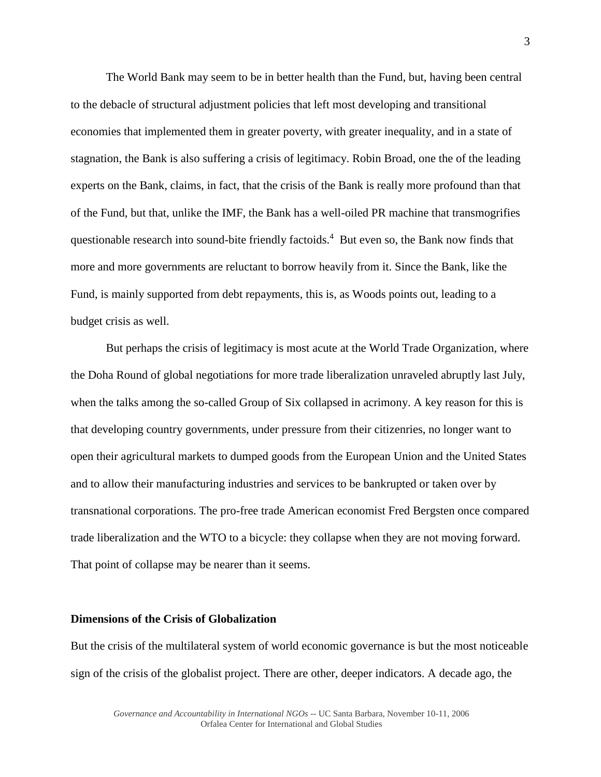The World Bank may seem to be in better health than the Fund, but, having been central to the debacle of structural adjustment policies that left most developing and transitional economies that implemented them in greater poverty, with greater inequality, and in a state of stagnation, the Bank is also suffering a crisis of legitimacy. Robin Broad, one the of the leading experts on the Bank, claims, in fact, that the crisis of the Bank is really more profound than that of the Fund, but that, unlike the IMF, the Bank has a well-oiled PR machine that transmogrifies questionable research into sound-bite friendly factoids.<sup>4</sup> But even so, the Bank now finds that more and more governments are reluctant to borrow heavily from it. Since the Bank, like the Fund, is mainly supported from debt repayments, this is, as Woods points out, leading to a budget crisis as well.

But perhaps the crisis of legitimacy is most acute at the World Trade Organization, where the Doha Round of global negotiations for more trade liberalization unraveled abruptly last July, when the talks among the so-called Group of Six collapsed in acrimony. A key reason for this is that developing country governments, under pressure from their citizenries, no longer want to open their agricultural markets to dumped goods from the European Union and the United States and to allow their manufacturing industries and services to be bankrupted or taken over by transnational corporations. The pro-free trade American economist Fred Bergsten once compared trade liberalization and the WTO to a bicycle: they collapse when they are not moving forward. That point of collapse may be nearer than it seems.

### **Dimensions of the Crisis of Globalization**

But the crisis of the multilateral system of world economic governance is but the most noticeable sign of the crisis of the globalist project. There are other, deeper indicators. A decade ago, the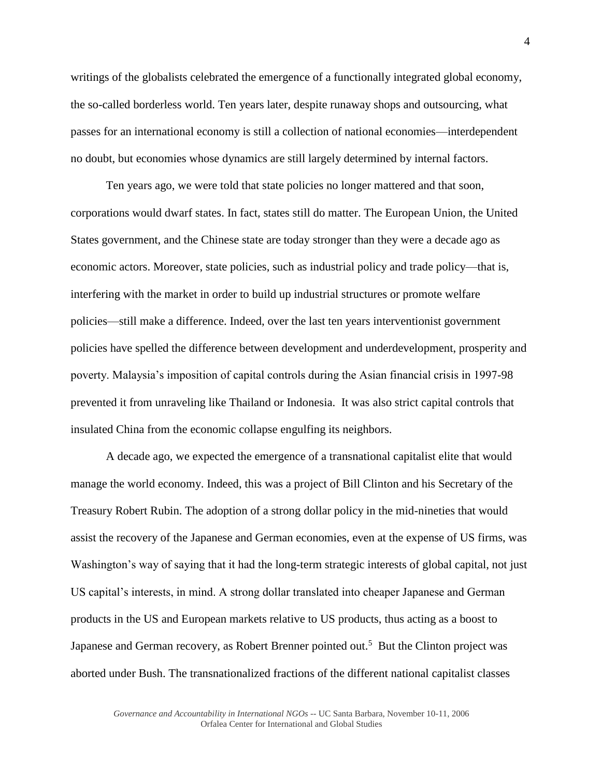writings of the globalists celebrated the emergence of a functionally integrated global economy, the so-called borderless world. Ten years later, despite runaway shops and outsourcing, what passes for an international economy is still a collection of national economies—interdependent no doubt, but economies whose dynamics are still largely determined by internal factors.

Ten years ago, we were told that state policies no longer mattered and that soon, corporations would dwarf states. In fact, states still do matter. The European Union, the United States government, and the Chinese state are today stronger than they were a decade ago as economic actors. Moreover, state policies, such as industrial policy and trade policy—that is, interfering with the market in order to build up industrial structures or promote welfare policies—still make a difference. Indeed, over the last ten years interventionist government policies have spelled the difference between development and underdevelopment, prosperity and poverty. Malaysia's imposition of capital controls during the Asian financial crisis in 1997-98 prevented it from unraveling like Thailand or Indonesia. It was also strict capital controls that insulated China from the economic collapse engulfing its neighbors.

A decade ago, we expected the emergence of a transnational capitalist elite that would manage the world economy. Indeed, this was a project of Bill Clinton and his Secretary of the Treasury Robert Rubin. The adoption of a strong dollar policy in the mid-nineties that would assist the recovery of the Japanese and German economies, even at the expense of US firms, was Washington's way of saying that it had the long-term strategic interests of global capital, not just US capital's interests, in mind. A strong dollar translated into cheaper Japanese and German products in the US and European markets relative to US products, thus acting as a boost to Japanese and German recovery, as Robert Brenner pointed out.<sup>5</sup> But the Clinton project was aborted under Bush. The transnationalized fractions of the different national capitalist classes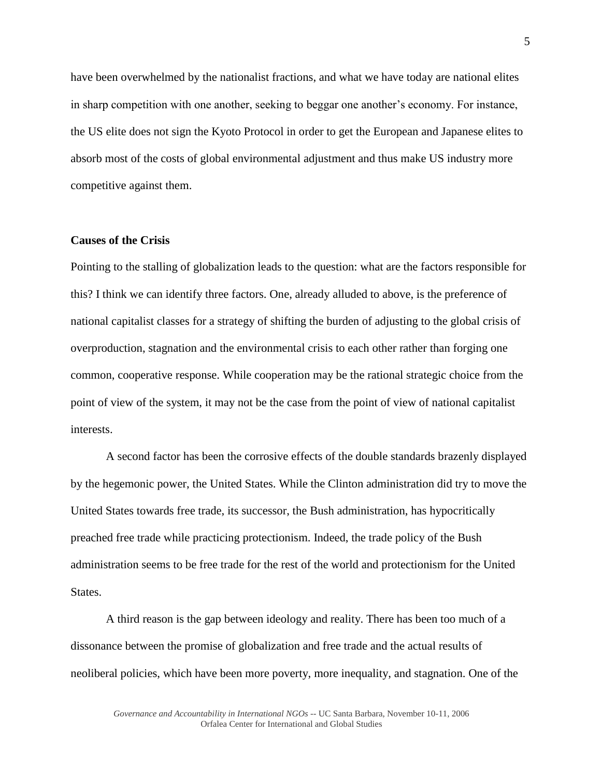have been overwhelmed by the nationalist fractions, and what we have today are national elites in sharp competition with one another, seeking to beggar one another's economy. For instance, the US elite does not sign the Kyoto Protocol in order to get the European and Japanese elites to absorb most of the costs of global environmental adjustment and thus make US industry more competitive against them.

#### **Causes of the Crisis**

Pointing to the stalling of globalization leads to the question: what are the factors responsible for this? I think we can identify three factors. One, already alluded to above, is the preference of national capitalist classes for a strategy of shifting the burden of adjusting to the global crisis of overproduction, stagnation and the environmental crisis to each other rather than forging one common, cooperative response. While cooperation may be the rational strategic choice from the point of view of the system, it may not be the case from the point of view of national capitalist interests.

A second factor has been the corrosive effects of the double standards brazenly displayed by the hegemonic power, the United States. While the Clinton administration did try to move the United States towards free trade, its successor, the Bush administration, has hypocritically preached free trade while practicing protectionism. Indeed, the trade policy of the Bush administration seems to be free trade for the rest of the world and protectionism for the United States.

A third reason is the gap between ideology and reality. There has been too much of a dissonance between the promise of globalization and free trade and the actual results of neoliberal policies, which have been more poverty, more inequality, and stagnation. One of the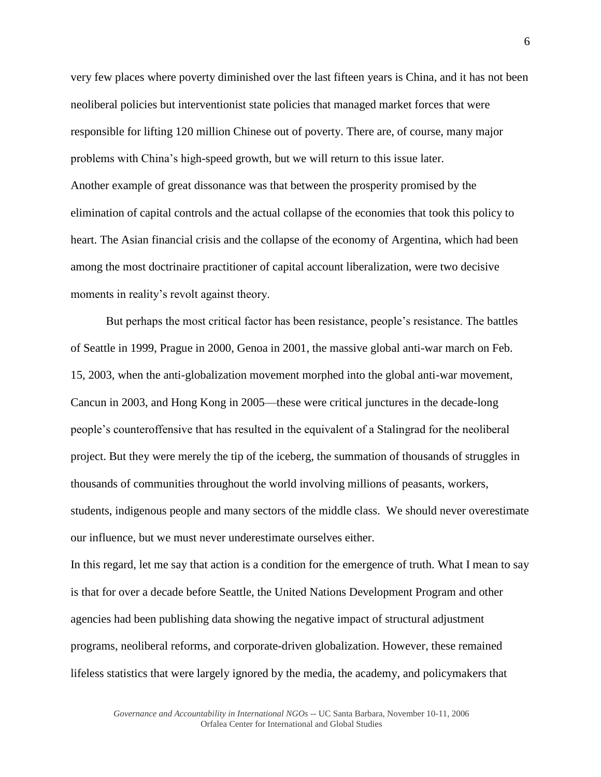very few places where poverty diminished over the last fifteen years is China, and it has not been neoliberal policies but interventionist state policies that managed market forces that were responsible for lifting 120 million Chinese out of poverty. There are, of course, many major problems with China's high-speed growth, but we will return to this issue later. Another example of great dissonance was that between the prosperity promised by the elimination of capital controls and the actual collapse of the economies that took this policy to heart. The Asian financial crisis and the collapse of the economy of Argentina, which had been among the most doctrinaire practitioner of capital account liberalization, were two decisive moments in reality's revolt against theory.

But perhaps the most critical factor has been resistance, people's resistance. The battles of Seattle in 1999, Prague in 2000, Genoa in 2001, the massive global anti-war march on Feb. 15, 2003, when the anti-globalization movement morphed into the global anti-war movement, Cancun in 2003, and Hong Kong in 2005—these were critical junctures in the decade-long people's counteroffensive that has resulted in the equivalent of a Stalingrad for the neoliberal project. But they were merely the tip of the iceberg, the summation of thousands of struggles in thousands of communities throughout the world involving millions of peasants, workers, students, indigenous people and many sectors of the middle class. We should never overestimate our influence, but we must never underestimate ourselves either.

In this regard, let me say that action is a condition for the emergence of truth. What I mean to say is that for over a decade before Seattle, the United Nations Development Program and other agencies had been publishing data showing the negative impact of structural adjustment programs, neoliberal reforms, and corporate-driven globalization. However, these remained lifeless statistics that were largely ignored by the media, the academy, and policymakers that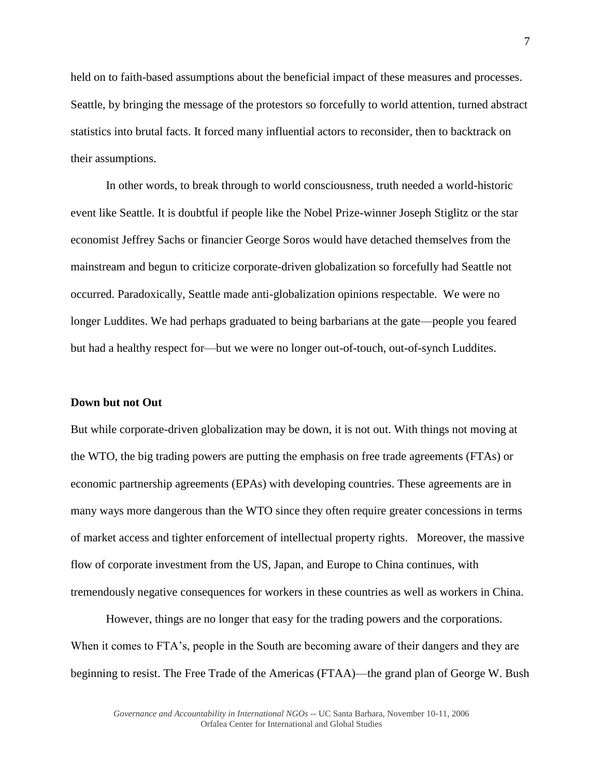held on to faith-based assumptions about the beneficial impact of these measures and processes. Seattle, by bringing the message of the protestors so forcefully to world attention, turned abstract statistics into brutal facts. It forced many influential actors to reconsider, then to backtrack on their assumptions.

In other words, to break through to world consciousness, truth needed a world-historic event like Seattle. It is doubtful if people like the Nobel Prize-winner Joseph Stiglitz or the star economist Jeffrey Sachs or financier George Soros would have detached themselves from the mainstream and begun to criticize corporate-driven globalization so forcefully had Seattle not occurred. Paradoxically, Seattle made anti-globalization opinions respectable. We were no longer Luddites. We had perhaps graduated to being barbarians at the gate—people you feared but had a healthy respect for—but we were no longer out-of-touch, out-of-synch Luddites.

### **Down but not Out**

But while corporate-driven globalization may be down, it is not out. With things not moving at the WTO, the big trading powers are putting the emphasis on free trade agreements (FTAs) or economic partnership agreements (EPAs) with developing countries. These agreements are in many ways more dangerous than the WTO since they often require greater concessions in terms of market access and tighter enforcement of intellectual property rights. Moreover, the massive flow of corporate investment from the US, Japan, and Europe to China continues, with tremendously negative consequences for workers in these countries as well as workers in China.

However, things are no longer that easy for the trading powers and the corporations. When it comes to FTA's, people in the South are becoming aware of their dangers and they are beginning to resist. The Free Trade of the Americas (FTAA)—the grand plan of George W. Bush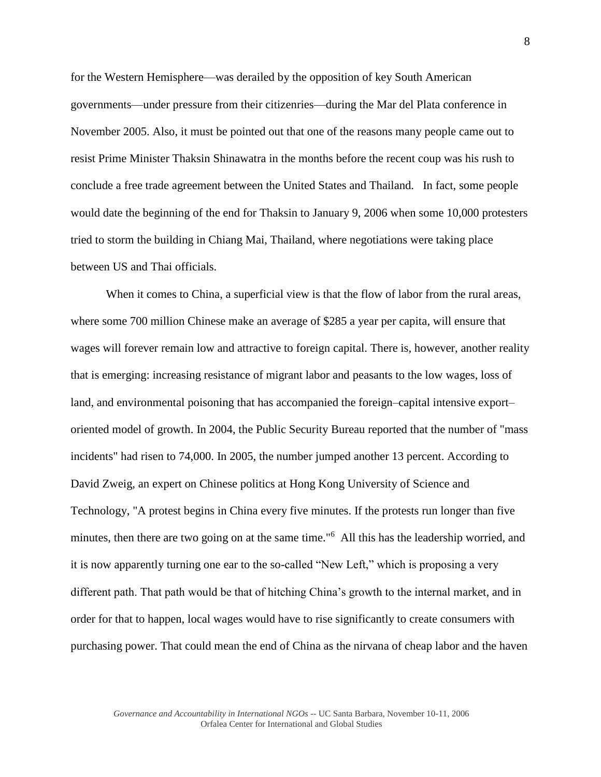for the Western Hemisphere—was derailed by the opposition of key South American governments—under pressure from their citizenries—during the Mar del Plata conference in November 2005. Also, it must be pointed out that one of the reasons many people came out to resist Prime Minister Thaksin Shinawatra in the months before the recent coup was his rush to conclude a free trade agreement between the United States and Thailand. In fact, some people would date the beginning of the end for Thaksin to January 9, 2006 when some 10,000 protesters tried to storm the building in Chiang Mai, Thailand, where negotiations were taking place between US and Thai officials.

When it comes to China, a superficial view is that the flow of labor from the rural areas, where some 700 million Chinese make an average of \$285 a year per capita, will ensure that wages will forever remain low and attractive to foreign capital. There is, however, another reality that is emerging: increasing resistance of migrant labor and peasants to the low wages, loss of land, and environmental poisoning that has accompanied the foreign–capital intensive export– oriented model of growth. In 2004, the Public Security Bureau reported that the number of "mass incidents" had risen to 74,000. In 2005, the number jumped another 13 percent. According to David Zweig, an expert on Chinese politics at Hong Kong University of Science and Technology, "A protest begins in China every five minutes. If the protests run longer than five minutes, then there are two going on at the same time."<sup>6</sup> All this has the leadership worried, and it is now apparently turning one ear to the so-called "New Left," which is proposing a very different path. That path would be that of hitching China's growth to the internal market, and in order for that to happen, local wages would have to rise significantly to create consumers with purchasing power. That could mean the end of China as the nirvana of cheap labor and the haven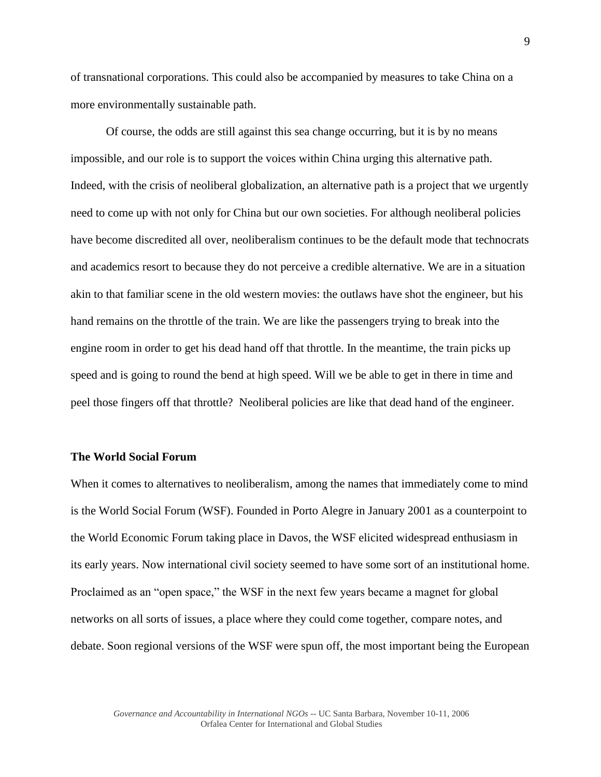of transnational corporations. This could also be accompanied by measures to take China on a more environmentally sustainable path.

Of course, the odds are still against this sea change occurring, but it is by no means impossible, and our role is to support the voices within China urging this alternative path. Indeed, with the crisis of neoliberal globalization, an alternative path is a project that we urgently need to come up with not only for China but our own societies. For although neoliberal policies have become discredited all over, neoliberalism continues to be the default mode that technocrats and academics resort to because they do not perceive a credible alternative. We are in a situation akin to that familiar scene in the old western movies: the outlaws have shot the engineer, but his hand remains on the throttle of the train. We are like the passengers trying to break into the engine room in order to get his dead hand off that throttle. In the meantime, the train picks up speed and is going to round the bend at high speed. Will we be able to get in there in time and peel those fingers off that throttle? Neoliberal policies are like that dead hand of the engineer.

#### **The World Social Forum**

When it comes to alternatives to neoliberalism, among the names that immediately come to mind is the World Social Forum (WSF). Founded in Porto Alegre in January 2001 as a counterpoint to the World Economic Forum taking place in Davos, the WSF elicited widespread enthusiasm in its early years. Now international civil society seemed to have some sort of an institutional home. Proclaimed as an "open space," the WSF in the next few years became a magnet for global networks on all sorts of issues, a place where they could come together, compare notes, and debate. Soon regional versions of the WSF were spun off, the most important being the European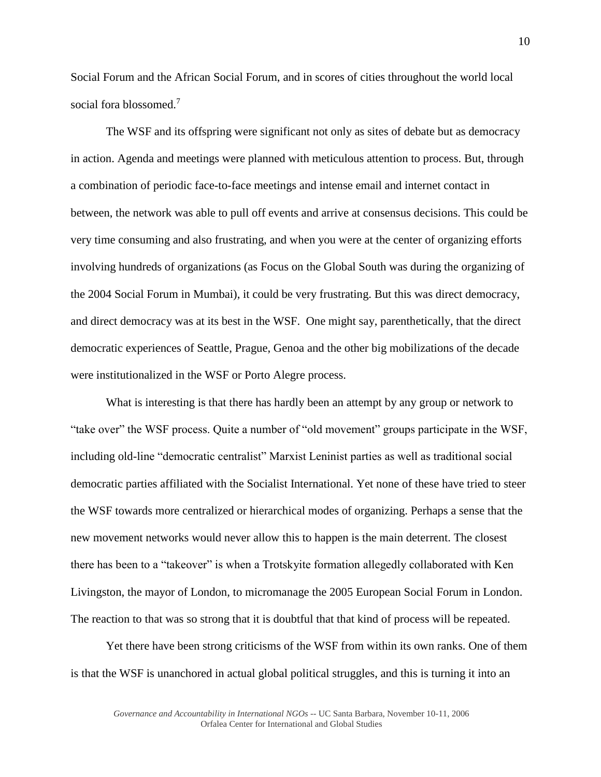Social Forum and the African Social Forum, and in scores of cities throughout the world local social fora blossomed.<sup>7</sup>

The WSF and its offspring were significant not only as sites of debate but as democracy in action. Agenda and meetings were planned with meticulous attention to process. But, through a combination of periodic face-to-face meetings and intense email and internet contact in between, the network was able to pull off events and arrive at consensus decisions. This could be very time consuming and also frustrating, and when you were at the center of organizing efforts involving hundreds of organizations (as Focus on the Global South was during the organizing of the 2004 Social Forum in Mumbai), it could be very frustrating. But this was direct democracy, and direct democracy was at its best in the WSF. One might say, parenthetically, that the direct democratic experiences of Seattle, Prague, Genoa and the other big mobilizations of the decade were institutionalized in the WSF or Porto Alegre process.

What is interesting is that there has hardly been an attempt by any group or network to "take over" the WSF process. Quite a number of "old movement" groups participate in the WSF, including old-line "democratic centralist" Marxist Leninist parties as well as traditional social democratic parties affiliated with the Socialist International. Yet none of these have tried to steer the WSF towards more centralized or hierarchical modes of organizing. Perhaps a sense that the new movement networks would never allow this to happen is the main deterrent. The closest there has been to a "takeover" is when a Trotskyite formation allegedly collaborated with Ken Livingston, the mayor of London, to micromanage the 2005 European Social Forum in London. The reaction to that was so strong that it is doubtful that that kind of process will be repeated.

Yet there have been strong criticisms of the WSF from within its own ranks. One of them is that the WSF is unanchored in actual global political struggles, and this is turning it into an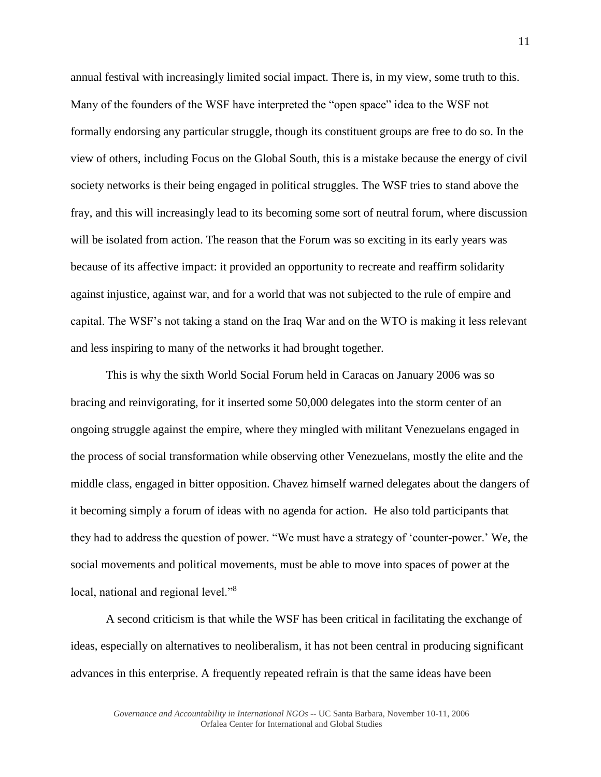annual festival with increasingly limited social impact. There is, in my view, some truth to this. Many of the founders of the WSF have interpreted the "open space" idea to the WSF not formally endorsing any particular struggle, though its constituent groups are free to do so. In the view of others, including Focus on the Global South, this is a mistake because the energy of civil society networks is their being engaged in political struggles. The WSF tries to stand above the fray, and this will increasingly lead to its becoming some sort of neutral forum, where discussion will be isolated from action. The reason that the Forum was so exciting in its early years was because of its affective impact: it provided an opportunity to recreate and reaffirm solidarity against injustice, against war, and for a world that was not subjected to the rule of empire and capital. The WSF's not taking a stand on the Iraq War and on the WTO is making it less relevant and less inspiring to many of the networks it had brought together.

This is why the sixth World Social Forum held in Caracas on January 2006 was so bracing and reinvigorating, for it inserted some 50,000 delegates into the storm center of an ongoing struggle against the empire, where they mingled with militant Venezuelans engaged in the process of social transformation while observing other Venezuelans, mostly the elite and the middle class, engaged in bitter opposition. Chavez himself warned delegates about the dangers of it becoming simply a forum of ideas with no agenda for action. He also told participants that they had to address the question of power. "We must have a strategy of 'counter-power.' We, the social movements and political movements, must be able to move into spaces of power at the local, national and regional level."<sup>8</sup>

A second criticism is that while the WSF has been critical in facilitating the exchange of ideas, especially on alternatives to neoliberalism, it has not been central in producing significant advances in this enterprise. A frequently repeated refrain is that the same ideas have been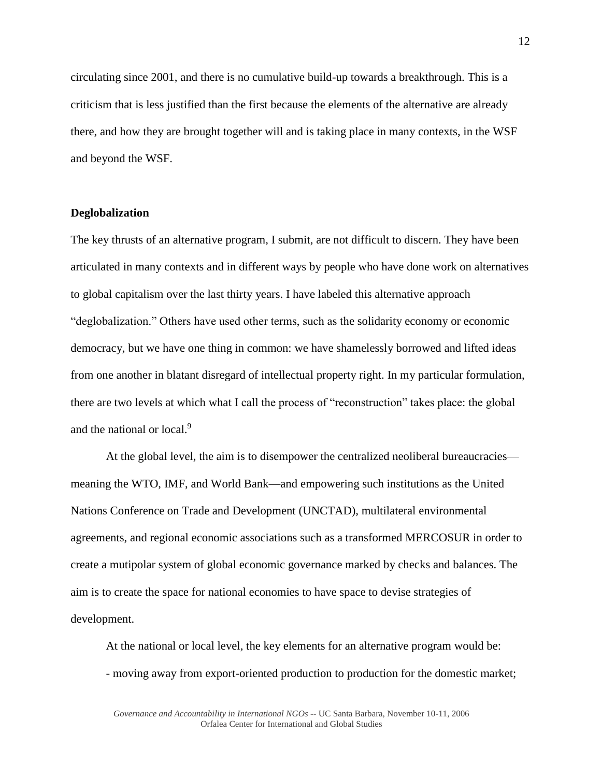circulating since 2001, and there is no cumulative build-up towards a breakthrough. This is a criticism that is less justified than the first because the elements of the alternative are already there, and how they are brought together will and is taking place in many contexts, in the WSF and beyond the WSF.

### **Deglobalization**

The key thrusts of an alternative program, I submit, are not difficult to discern. They have been articulated in many contexts and in different ways by people who have done work on alternatives to global capitalism over the last thirty years. I have labeled this alternative approach "deglobalization." Others have used other terms, such as the solidarity economy or economic democracy, but we have one thing in common: we have shamelessly borrowed and lifted ideas from one another in blatant disregard of intellectual property right. In my particular formulation, there are two levels at which what I call the process of "reconstruction" takes place: the global and the national or local.<sup>9</sup>

At the global level, the aim is to disempower the centralized neoliberal bureaucracies meaning the WTO, IMF, and World Bank—and empowering such institutions as the United Nations Conference on Trade and Development (UNCTAD), multilateral environmental agreements, and regional economic associations such as a transformed MERCOSUR in order to create a mutipolar system of global economic governance marked by checks and balances. The aim is to create the space for national economies to have space to devise strategies of development.

At the national or local level, the key elements for an alternative program would be: - moving away from export-oriented production to production for the domestic market;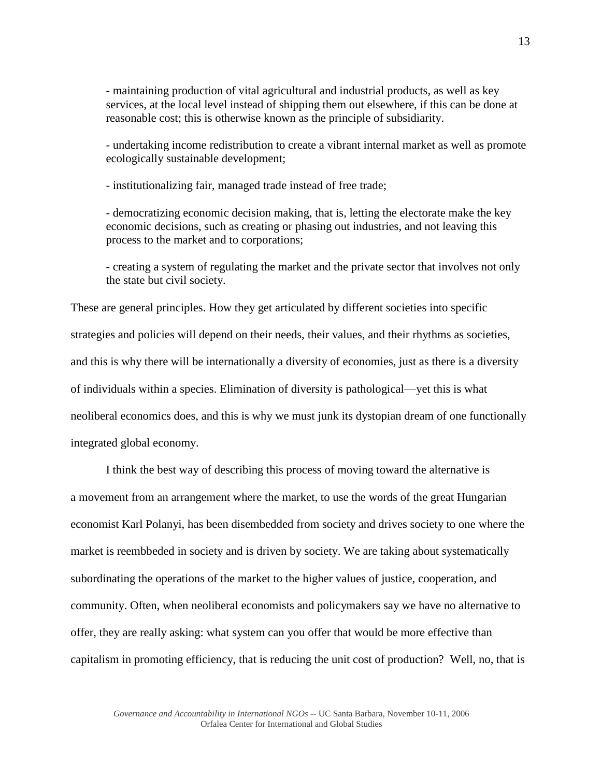- maintaining production of vital agricultural and industrial products, as well as key services, at the local level instead of shipping them out elsewhere, if this can be done at reasonable cost; this is otherwise known as the principle of subsidiarity.

- undertaking income redistribution to create a vibrant internal market as well as promote ecologically sustainable development;

- institutionalizing fair, managed trade instead of free trade;

- democratizing economic decision making, that is, letting the electorate make the key economic decisions, such as creating or phasing out industries, and not leaving this process to the market and to corporations;

- creating a system of regulating the market and the private sector that involves not only the state but civil society.

These are general principles. How they get articulated by different societies into specific strategies and policies will depend on their needs, their values, and their rhythms as societies, and this is why there will be internationally a diversity of economies, just as there is a diversity of individuals within a species. Elimination of diversity is pathological—yet this is what neoliberal economics does, and this is why we must junk its dystopian dream of one functionally integrated global economy.

I think the best way of describing this process of moving toward the alternative is a movement from an arrangement where the market, to use the words of the great Hungarian economist Karl Polanyi, has been disembedded from society and drives society to one where the market is reembbeded in society and is driven by society. We are taking about systematically subordinating the operations of the market to the higher values of justice, cooperation, and community. Often, when neoliberal economists and policymakers say we have no alternative to offer, they are really asking: what system can you offer that would be more effective than capitalism in promoting efficiency, that is reducing the unit cost of production? Well, no, that is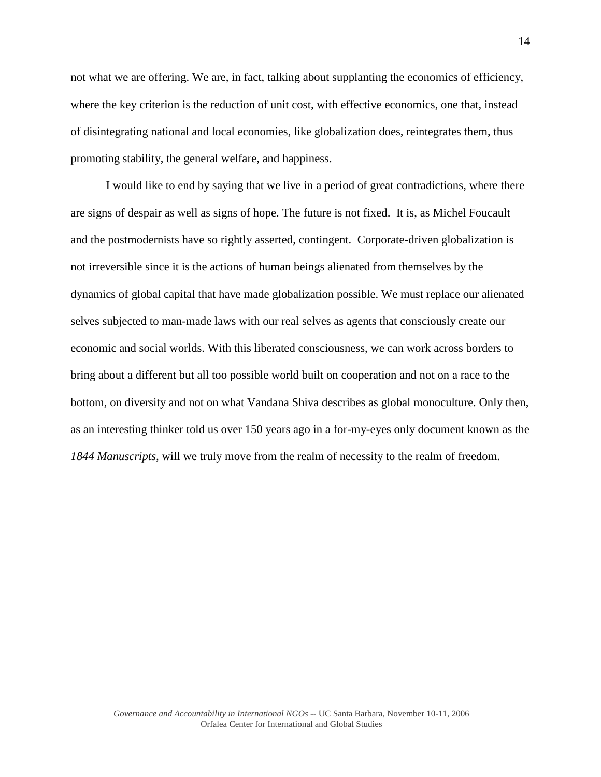not what we are offering. We are, in fact, talking about supplanting the economics of efficiency, where the key criterion is the reduction of unit cost, with effective economics, one that, instead of disintegrating national and local economies, like globalization does, reintegrates them, thus promoting stability, the general welfare, and happiness.

I would like to end by saying that we live in a period of great contradictions, where there are signs of despair as well as signs of hope. The future is not fixed. It is, as Michel Foucault and the postmodernists have so rightly asserted, contingent. Corporate-driven globalization is not irreversible since it is the actions of human beings alienated from themselves by the dynamics of global capital that have made globalization possible. We must replace our alienated selves subjected to man-made laws with our real selves as agents that consciously create our economic and social worlds. With this liberated consciousness, we can work across borders to bring about a different but all too possible world built on cooperation and not on a race to the bottom, on diversity and not on what Vandana Shiva describes as global monoculture. Only then, as an interesting thinker told us over 150 years ago in a for-my-eyes only document known as the *1844 Manuscripts,* will we truly move from the realm of necessity to the realm of freedom.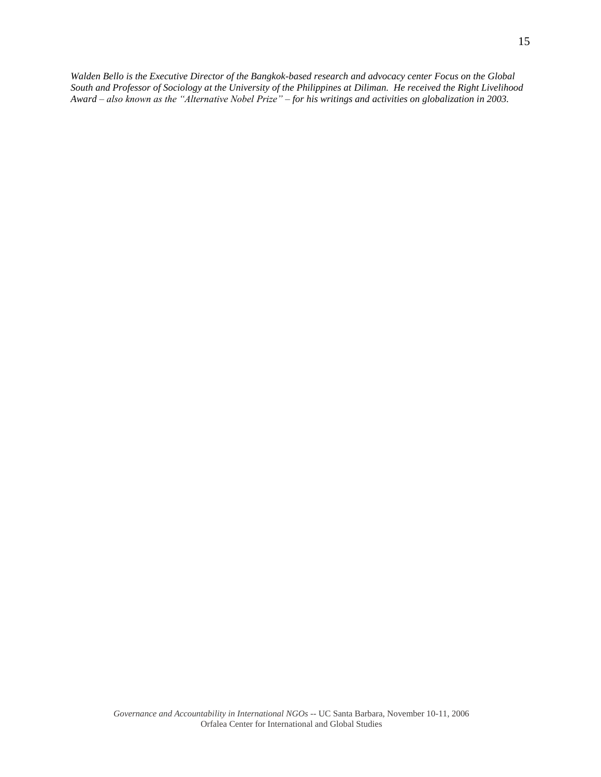*Walden Bello is the Executive Director of the Bangkok-based research and advocacy center Focus on the Global South and Professor of Sociology at the University of the Philippines at Diliman. He received the Right Livelihood Award – also known as the "Alternative Nobel Prize" – for his writings and activities on globalization in 2003.*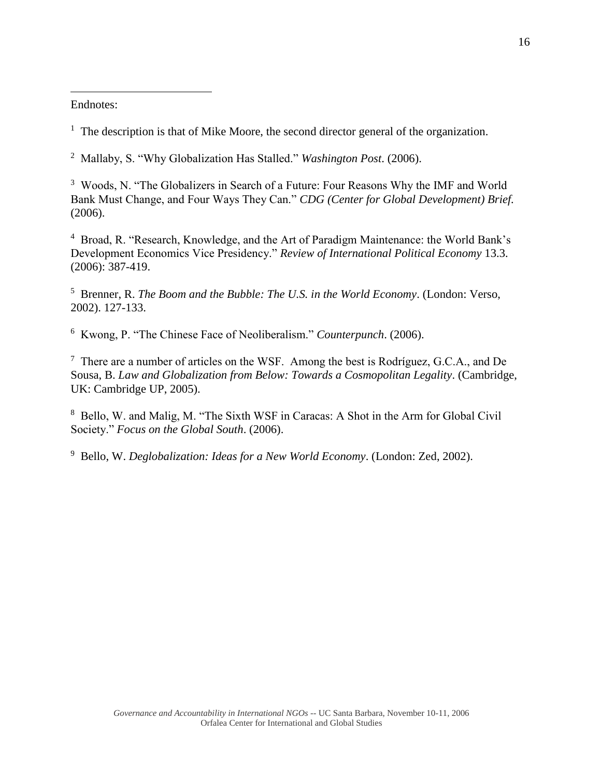# Endnotes:

 $\overline{a}$ 

<sup>1</sup> The description is that of Mike Moore, the second director general of the organization.

2 Mallaby, S. "Why Globalization Has Stalled." *Washington Post*. (2006).

<sup>3</sup> Woods, N. "The Globalizers in Search of a Future: Four Reasons Why the IMF and World Bank Must Change, and Four Ways They Can." *CDG (Center for Global Development) Brief.* (2006).

<sup>4</sup> Broad, R. "Research, Knowledge, and the Art of Paradigm Maintenance: the World Bank's Development Economics Vice Presidency." *Review of International Political Economy* 13.3. (2006): 387-419.

5 Brenner, R. *The Boom and the Bubble: The U.S. in the World Economy*. (London: Verso, 2002). 127-133.

6 Kwong, P. "The Chinese Face of Neoliberalism." *Counterpunch*. (2006).

 $7$  There are a number of articles on the WSF. Among the best is Rodríguez, G.C.A., and De Sousa, B. *Law and Globalization from Below: Towards a Cosmopolitan Legality*. (Cambridge, UK: Cambridge UP, 2005).

<sup>8</sup> Bello, W. and Malig, M. "The Sixth WSF in Caracas: A Shot in the Arm for Global Civil Society." *Focus on the Global South*. (2006).

9 Bello, W. *Deglobalization: Ideas for a New World Economy*. (London: Zed, 2002).